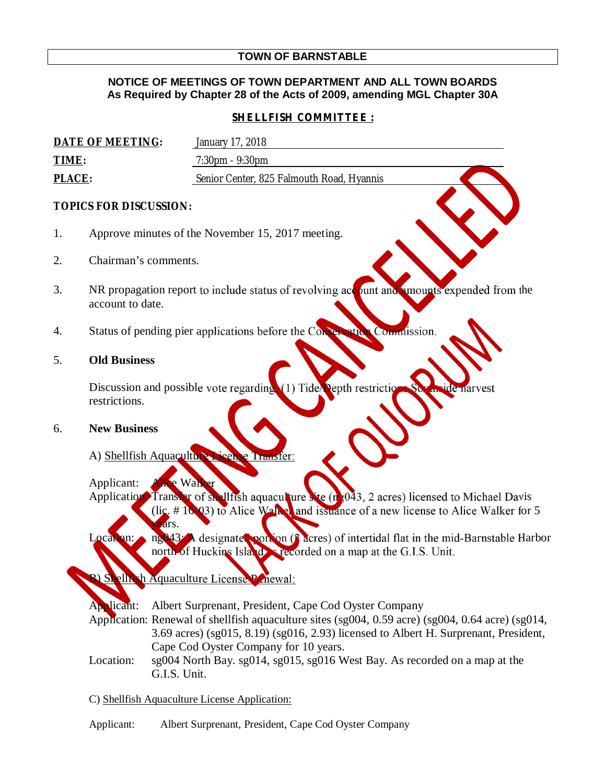# **TOWN OF BARNSTABLE**

## **NOTICE OF MEETINGS OF TOWN DEPARTMENT AND ALL TOWN BOARDS As Required by Chapter 28 of the Acts of 2009, amending MGL Chapter 30A**

# *SHELLFISH COMMITTEE :*

| DATE OF MEETING: | January 17, 2018                          |
|------------------|-------------------------------------------|
| TIME:            | $7:30 \text{pm} - 9:30 \text{pm}$         |
| <b>PLACE:</b>    | Senior Center, 825 Falmouth Road, Hyannis |

### **TOPICS FOR DISCUSSION:**

- 1. Approve minutes of the November 15, 2017 meeting.
- 2. Chairman's comments.
- 3. NR propagation report to include status of revolving account and amounts expended from the account to date.
- 4. Status of pending pier applications before the Conservation Commission.

### 5. **Old Business**

Discussion and possible vote regarding. (1) Tide $\Delta$ epth restrictions Southside in Southside harvest harvest harvest harvest harvest harvest harvest harvest harvest harvest harvest harvest harvest harvest harvest harvest restrictions.

#### 6. **New Business**

A) Shellfish Aquaculture

Applicant: **Alice Walker** Application: Transfer of shellfish aquaculture site  $(n_{\rm g}043, 2 \text{ acres})$  licensed to Michael Davis  $(i)c. # 16-03$  to Alice Walker and issuance of a new license to Alice Walker for 5  $ears.$ 

ocation: ng043: A designated portion (2 acres) of intertidal flat in the mid-Barnstable Harbor north of Huckins Island as recorded on a map at the G.I.S. Unit.

elhish Aquaculture License Penewal:

Nicant: Albert Surprenant, President, Cape Cod Oyster Company

Application: Renewal of shellfish aquaculture sites (sg004, 0.59 acre) (sg004, 0.64 acre) (sg014, 3.69 acres) (sg015, 8.19) (sg016, 2.93) licensed to Albert H. Surprenant, President, Cape Cod Oyster Company for 10 years.

Location: sg004 North Bay. sg014, sg015, sg016 West Bay. As recorded on a map at the G.I.S. Unit.

C) Shellfish Aquaculture License Application:

Applicant: Albert Surprenant, President, Cape Cod Oyster Company